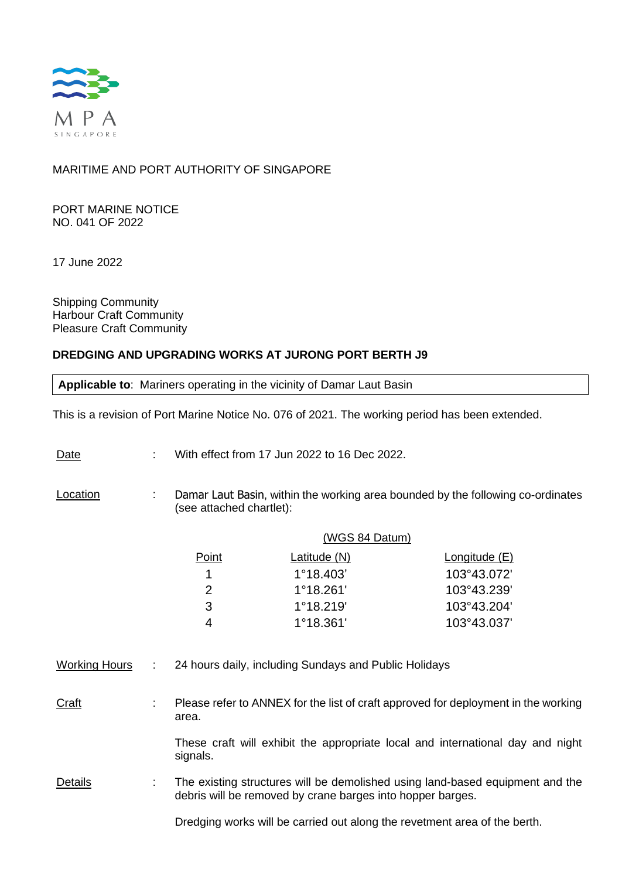

# MARITIME AND PORT AUTHORITY OF SINGAPORE

PORT MARINE NOTICE NO. 041 OF 2022

17 June 2022

Shipping Community Harbour Craft Community Pleasure Craft Community

## **DREDGING AND UPGRADING WORKS AT JURONG PORT BERTH J9**

**Applicable to**: Mariners operating in the vicinity of Damar Laut Basin

This is a revision of Port Marine Notice No. 076 of 2021. The working period has been extended.

Date : With effect from 17 Jun 2022 to 16 Dec 2022.

**Location** : Damar Laut Basin, within the working area bounded by the following co-ordinates (see attached chartlet):

|       | (WGS 84 Datum)      |                      |
|-------|---------------------|----------------------|
| Point | <u>Latitude (N)</u> | <u>Longitude</u> (E) |
| 1.    | $1^{\circ}18.403'$  | 103°43.072'          |
| 2     | $1^{\circ}18.261'$  | 103°43.239'          |
| 3     | $1^{\circ}18.219'$  | 103°43.204'          |
|       | $1^{\circ}18.361'$  | 103°43.037'          |

Working Hours : 24 hours daily, including Sundays and Public Holidays

Craft : Please refer to ANNEX for the list of craft approved for deployment in the working area.

> These craft will exhibit the appropriate local and international day and night signals.

Details : The existing structures will be demolished using land-based equipment and the debris will be removed by crane barges into hopper barges.

Dredging works will be carried out along the revetment area of the berth.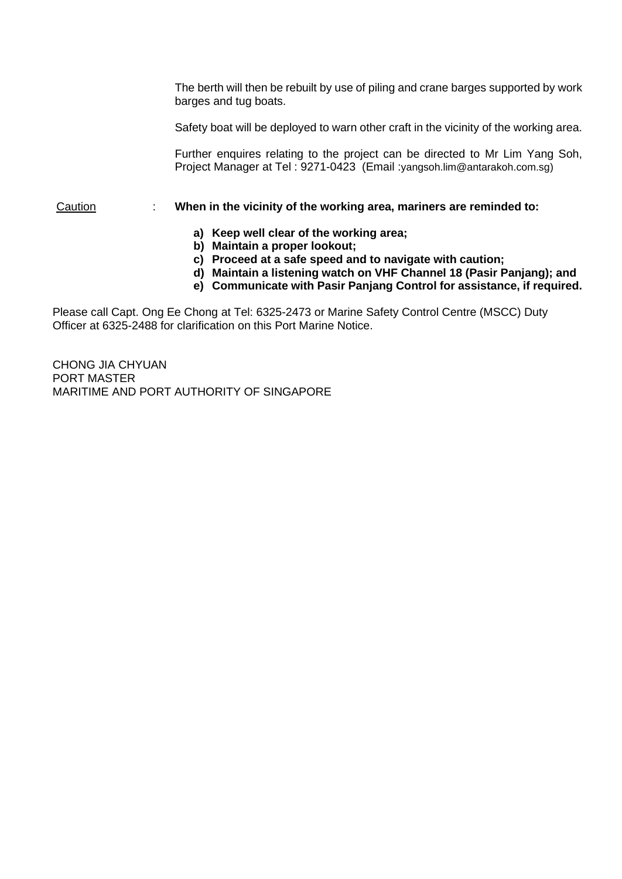The berth will then be rebuilt by use of piling and crane barges supported by work barges and tug boats.

Safety boat will be deployed to warn other craft in the vicinity of the working area.

Further enquires relating to the project can be directed to Mr Lim Yang Soh, Project Manager at Tel : 9271-0423 (Email :yangsoh.lim@antarakoh.com.sg)

### Caution : **When in the vicinity of the working area, mariners are reminded to:**

- **a) Keep well clear of the working area;**
- **b) Maintain a proper lookout;**
- **c) Proceed at a safe speed and to navigate with caution;**
- **d) Maintain a listening watch on VHF Channel 18 (Pasir Panjang); and**
- **e) Communicate with Pasir Panjang Control for assistance, if required.**

Please call Capt. Ong Ee Chong at Tel: 6325-2473 or Marine Safety Control Centre (MSCC) Duty Officer at 6325-2488 for clarification on this Port Marine Notice.

CHONG JIA CHYUAN PORT MASTER MARITIME AND PORT AUTHORITY OF SINGAPORE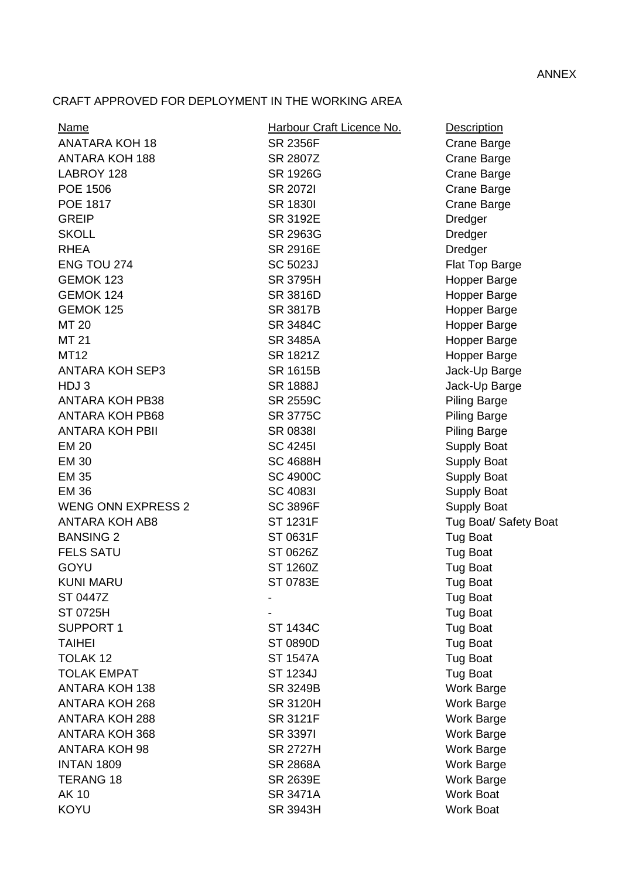# CRAFT APPROVED FOR DEPLOYMENT IN THE WORKING AREA

| <b>Name</b>               | Harbour Craft Licence No. | <b>Description</b>    |
|---------------------------|---------------------------|-----------------------|
| <b>ANATARA KOH 18</b>     | <b>SR 2356F</b>           | Crane Barge           |
| <b>ANTARA KOH 188</b>     | SR 2807Z                  | Crane Barge           |
| LABROY 128                | SR 1926G                  | Crane Barge           |
| POE 1506                  | <b>SR 20721</b>           | Crane Barge           |
| POE 1817                  | <b>SR 1830I</b>           | Crane Barge           |
| <b>GREIP</b>              | SR 3192E                  | Dredger               |
| <b>SKOLL</b>              | SR 2963G                  | Dredger               |
| <b>RHEA</b>               | <b>SR 2916E</b>           | Dredger               |
| ENG TOU 274               | SC 5023J                  | Flat Top Barge        |
| GEMOK 123                 | SR 3795H                  | Hopper Barge          |
| GEMOK 124                 | <b>SR 3816D</b>           | Hopper Barge          |
| GEMOK 125                 | SR 3817B                  | Hopper Barge          |
| MT 20                     | SR 3484C                  | Hopper Barge          |
| MT 21                     | SR 3485A                  | Hopper Barge          |
| <b>MT12</b>               | SR 1821Z                  | Hopper Barge          |
| <b>ANTARA KOH SEP3</b>    | SR 1615B                  | Jack-Up Barge         |
| HDJ3                      | <b>SR 1888J</b>           | Jack-Up Barge         |
| <b>ANTARA KOH PB38</b>    | SR 2559C                  | <b>Piling Barge</b>   |
| <b>ANTARA KOH PB68</b>    | <b>SR 3775C</b>           | <b>Piling Barge</b>   |
| <b>ANTARA KOH PBII</b>    | <b>SR 08381</b>           | <b>Piling Barge</b>   |
| <b>EM 20</b>              | <b>SC 42451</b>           | Supply Boat           |
| <b>EM 30</b>              | <b>SC 4688H</b>           | <b>Supply Boat</b>    |
| <b>EM 35</b>              | <b>SC 4900C</b>           | <b>Supply Boat</b>    |
| <b>EM 36</b>              | <b>SC 40831</b>           | <b>Supply Boat</b>    |
| <b>WENG ONN EXPRESS 2</b> | <b>SC 3896F</b>           | Supply Boat           |
| <b>ANTARA KOH AB8</b>     | <b>ST 1231F</b>           | Tug Boat/ Safety Boat |
| <b>BANSING 2</b>          | ST 0631F                  | <b>Tug Boat</b>       |
| <b>FELS SATU</b>          | ST 0626Z                  | <b>Tug Boat</b>       |
| <b>GOYU</b>               | ST 1260Z                  | <b>Tug Boat</b>       |
| <b>KUNI MARU</b>          | ST 0783E                  | <b>Tug Boat</b>       |
| ST 0447Z                  |                           | <b>Tug Boat</b>       |
| ST 0725H                  |                           | <b>Tug Boat</b>       |
| <b>SUPPORT 1</b>          | ST 1434C                  | <b>Tug Boat</b>       |
| <b>TAIHEI</b>             | ST 0890D                  | <b>Tug Boat</b>       |
| TOLAK 12                  | <b>ST 1547A</b>           | <b>Tug Boat</b>       |
| <b>TOLAK EMPAT</b>        | ST 1234J                  | <b>Tug Boat</b>       |
| <b>ANTARA KOH 138</b>     | SR 3249B                  | <b>Work Barge</b>     |
| <b>ANTARA KOH 268</b>     | <b>SR 3120H</b>           | <b>Work Barge</b>     |
| <b>ANTARA KOH 288</b>     | <b>SR 3121F</b>           | <b>Work Barge</b>     |
| <b>ANTARA KOH 368</b>     | <b>SR 33971</b>           | <b>Work Barge</b>     |
| <b>ANTARA KOH 98</b>      | SR 2727H                  | <b>Work Barge</b>     |
| <b>INTAN 1809</b>         | <b>SR 2868A</b>           | <b>Work Barge</b>     |
| <b>TERANG 18</b>          | SR 2639E                  | Work Barge            |
| <b>AK 10</b>              | SR 3471A                  | <b>Work Boat</b>      |
| <b>KOYU</b>               | SR 3943H                  | <b>Work Boat</b>      |
|                           |                           |                       |